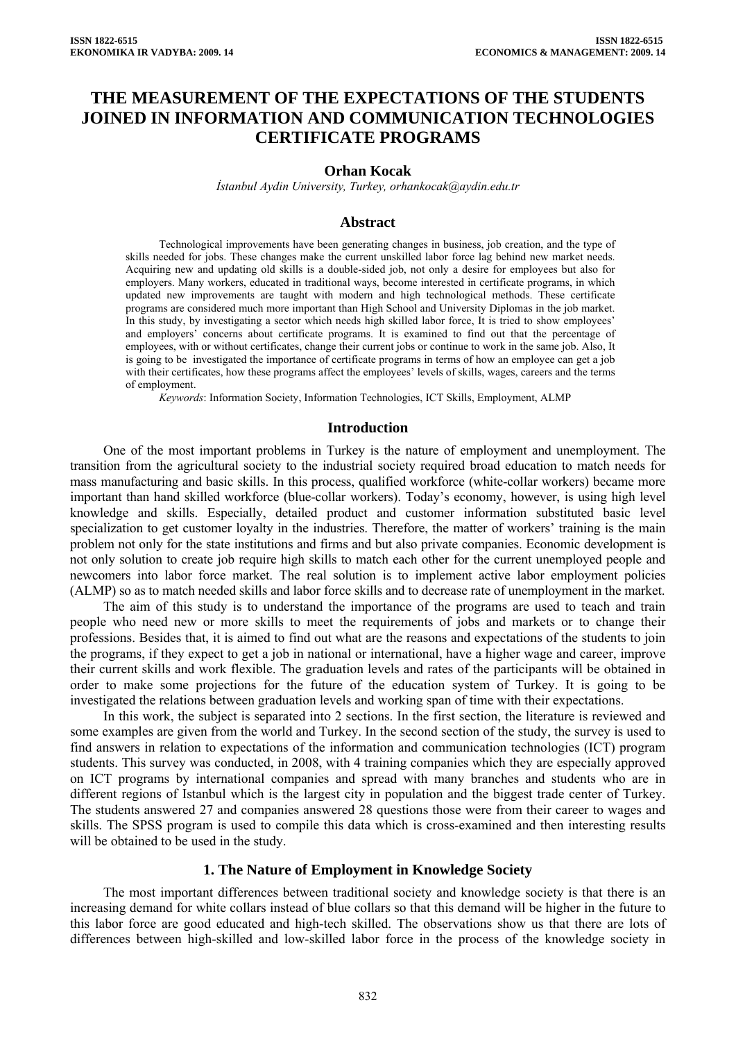# **THE MEASUREMENT OF THE EXPECTATIONS OF THE STUDENTS JOINED IN INFORMATION AND COMMUNICATION TECHNOLOGIES CERTIFICATE PROGRAMS**

#### **Orhan Kocak**

*İstanbul Aydin University, Turkey, orhankocak@aydin.edu.tr*

#### **Abstract**

Technological improvements have been generating changes in business, job creation, and the type of skills needed for jobs. These changes make the current unskilled labor force lag behind new market needs. Acquiring new and updating old skills is a double-sided job, not only a desire for employees but also for employers. Many workers, educated in traditional ways, become interested in certificate programs, in which updated new improvements are taught with modern and high technological methods. These certificate programs are considered much more important than High School and University Diplomas in the job market. In this study, by investigating a sector which needs high skilled labor force, It is tried to show employees' and employers' concerns about certificate programs. It is examined to find out that the percentage of employees, with or without certificates, change their current jobs or continue to work in the same job. Also, It is going to be investigated the importance of certificate programs in terms of how an employee can get a job with their certificates, how these programs affect the employees' levels of skills, wages, careers and the terms of employment.

*Keywords*: Information Society, Information Technologies, ICT Skills, Employment, ALMP

#### **Introduction**

One of the most important problems in Turkey is the nature of employment and unemployment. The transition from the agricultural society to the industrial society required broad education to match needs for mass manufacturing and basic skills. In this process, qualified workforce (white-collar workers) became more important than hand skilled workforce (blue-collar workers). Today's economy, however, is using high level knowledge and skills. Especially, detailed product and customer information substituted basic level specialization to get customer loyalty in the industries. Therefore, the matter of workers' training is the main problem not only for the state institutions and firms and but also private companies. Economic development is not only solution to create job require high skills to match each other for the current unemployed people and newcomers into labor force market. The real solution is to implement active labor employment policies (ALMP) so as to match needed skills and labor force skills and to decrease rate of unemployment in the market.

The aim of this study is to understand the importance of the programs are used to teach and train people who need new or more skills to meet the requirements of jobs and markets or to change their professions. Besides that, it is aimed to find out what are the reasons and expectations of the students to join the programs, if they expect to get a job in national or international, have a higher wage and career, improve their current skills and work flexible. The graduation levels and rates of the participants will be obtained in order to make some projections for the future of the education system of Turkey. It is going to be investigated the relations between graduation levels and working span of time with their expectations.

In this work, the subject is separated into 2 sections. In the first section, the literature is reviewed and some examples are given from the world and Turkey. In the second section of the study, the survey is used to find answers in relation to expectations of the information and communication technologies (ICT) program students. This survey was conducted, in 2008, with 4 training companies which they are especially approved on ICT programs by international companies and spread with many branches and students who are in different regions of Istanbul which is the largest city in population and the biggest trade center of Turkey. The students answered 27 and companies answered 28 questions those were from their career to wages and skills. The SPSS program is used to compile this data which is cross-examined and then interesting results will be obtained to be used in the study.

### **1. The Nature of Employment in Knowledge Society**

The most important differences between traditional society and knowledge society is that there is an increasing demand for white collars instead of blue collars so that this demand will be higher in the future to this labor force are good educated and high-tech skilled. The observations show us that there are lots of differences between high-skilled and low-skilled labor force in the process of the knowledge society in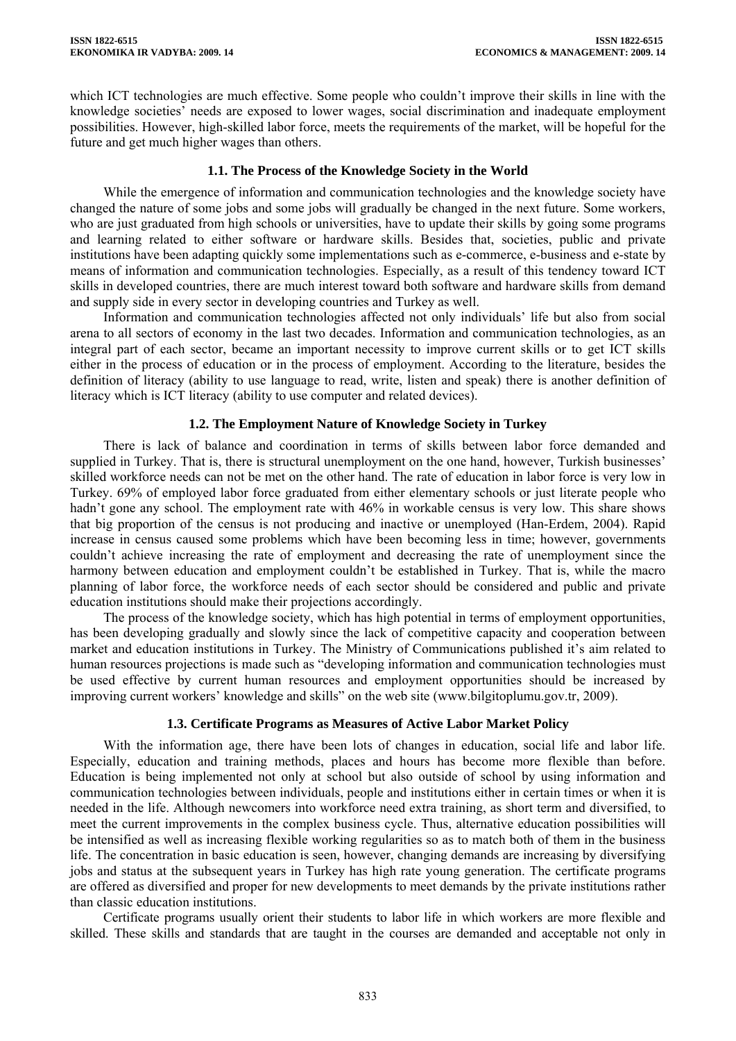which ICT technologies are much effective. Some people who couldn't improve their skills in line with the knowledge societies' needs are exposed to lower wages, social discrimination and inadequate employment possibilities. However, high-skilled labor force, meets the requirements of the market, will be hopeful for the future and get much higher wages than others.

### **1.1. The Process of the Knowledge Society in the World**

While the emergence of information and communication technologies and the knowledge society have changed the nature of some jobs and some jobs will gradually be changed in the next future. Some workers, who are just graduated from high schools or universities, have to update their skills by going some programs and learning related to either software or hardware skills. Besides that, societies, public and private institutions have been adapting quickly some implementations such as e-commerce, e-business and e-state by means of information and communication technologies. Especially, as a result of this tendency toward ICT skills in developed countries, there are much interest toward both software and hardware skills from demand and supply side in every sector in developing countries and Turkey as well.

Information and communication technologies affected not only individuals' life but also from social arena to all sectors of economy in the last two decades. Information and communication technologies, as an integral part of each sector, became an important necessity to improve current skills or to get ICT skills either in the process of education or in the process of employment. According to the literature, besides the definition of literacy (ability to use language to read, write, listen and speak) there is another definition of literacy which is ICT literacy (ability to use computer and related devices).

# **1.2. The Employment Nature of Knowledge Society in Turkey**

There is lack of balance and coordination in terms of skills between labor force demanded and supplied in Turkey. That is, there is structural unemployment on the one hand, however, Turkish businesses' skilled workforce needs can not be met on the other hand. The rate of education in labor force is very low in Turkey. 69% of employed labor force graduated from either elementary schools or just literate people who hadn't gone any school. The employment rate with 46% in workable census is very low. This share shows that big proportion of the census is not producing and inactive or unemployed (Han-Erdem, 2004). Rapid increase in census caused some problems which have been becoming less in time; however, governments couldn't achieve increasing the rate of employment and decreasing the rate of unemployment since the harmony between education and employment couldn't be established in Turkey. That is, while the macro planning of labor force, the workforce needs of each sector should be considered and public and private education institutions should make their projections accordingly.

The process of the knowledge society, which has high potential in terms of employment opportunities, has been developing gradually and slowly since the lack of competitive capacity and cooperation between market and education institutions in Turkey. The Ministry of Communications published it's aim related to human resources projections is made such as "developing information and communication technologies must be used effective by current human resources and employment opportunities should be increased by improving current workers' knowledge and skills" on the web site (www.bilgitoplumu.gov.tr, 2009).

### **1.3. Certificate Programs as Measures of Active Labor Market Policy**

With the information age, there have been lots of changes in education, social life and labor life. Especially, education and training methods, places and hours has become more flexible than before. Education is being implemented not only at school but also outside of school by using information and communication technologies between individuals, people and institutions either in certain times or when it is needed in the life. Although newcomers into workforce need extra training, as short term and diversified, to meet the current improvements in the complex business cycle. Thus, alternative education possibilities will be intensified as well as increasing flexible working regularities so as to match both of them in the business life. The concentration in basic education is seen, however, changing demands are increasing by diversifying jobs and status at the subsequent years in Turkey has high rate young generation. The certificate programs are offered as diversified and proper for new developments to meet demands by the private institutions rather than classic education institutions.

Certificate programs usually orient their students to labor life in which workers are more flexible and skilled. These skills and standards that are taught in the courses are demanded and acceptable not only in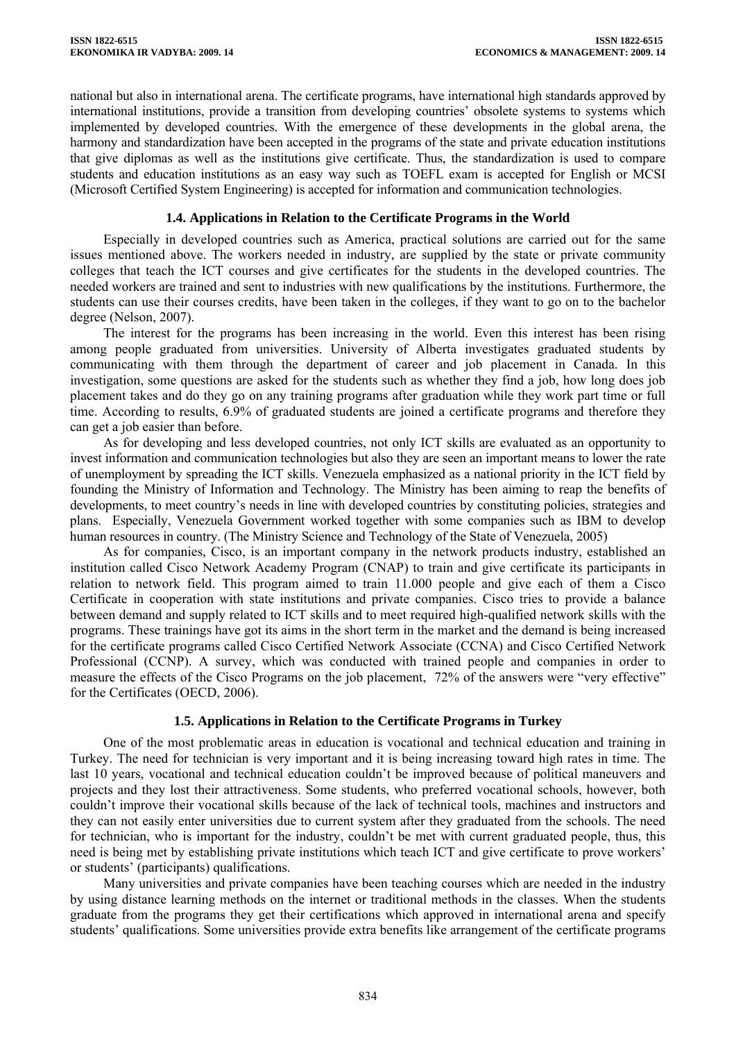national but also in international arena. The certificate programs, have international high standards approved by international institutions, provide a transition from developing countries' obsolete systems to systems which implemented by developed countries. With the emergence of these developments in the global arena, the harmony and standardization have been accepted in the programs of the state and private education institutions that give diplomas as well as the institutions give certificate. Thus, the standardization is used to compare students and education institutions as an easy way such as TOEFL exam is accepted for English or MCSI (Microsoft Certified System Engineering) is accepted for information and communication technologies.

### **1.4. Applications in Relation to the Certificate Programs in the World**

Especially in developed countries such as America, practical solutions are carried out for the same issues mentioned above. The workers needed in industry, are supplied by the state or private community colleges that teach the ICT courses and give certificates for the students in the developed countries. The needed workers are trained and sent to industries with new qualifications by the institutions. Furthermore, the students can use their courses credits, have been taken in the colleges, if they want to go on to the bachelor degree (Nelson, 2007).

The interest for the programs has been increasing in the world. Even this interest has been rising among people graduated from universities. University of Alberta investigates graduated students by communicating with them through the department of career and job placement in Canada. In this investigation, some questions are asked for the students such as whether they find a job, how long does job placement takes and do they go on any training programs after graduation while they work part time or full time. According to results, 6.9% of graduated students are joined a certificate programs and therefore they can get a job easier than before.

As for developing and less developed countries, not only ICT skills are evaluated as an opportunity to invest information and communication technologies but also they are seen an important means to lower the rate of unemployment by spreading the ICT skills. Venezuela emphasized as a national priority in the ICT field by founding the Ministry of Information and Technology. The Ministry has been aiming to reap the benefits of developments, to meet country's needs in line with developed countries by constituting policies, strategies and plans. Especially, Venezuela Government worked together with some companies such as IBM to develop human resources in country. (The Ministry Science and Technology of the State of Venezuela, 2005)

As for companies, Cisco, is an important company in the network products industry, established an institution called Cisco Network Academy Program (CNAP) to train and give certificate its participants in relation to network field. This program aimed to train 11.000 people and give each of them a Cisco Certificate in cooperation with state institutions and private companies. Cisco tries to provide a balance between demand and supply related to ICT skills and to meet required high-qualified network skills with the programs. These trainings have got its aims in the short term in the market and the demand is being increased for the certificate programs called Cisco Certified Network Associate (CCNA) and Cisco Certified Network Professional (CCNP). A survey, which was conducted with trained people and companies in order to measure the effects of the Cisco Programs on the job placement, 72% of the answers were "very effective" for the Certificates (OECD, 2006).

# **1.5. Applications in Relation to the Certificate Programs in Turkey**

One of the most problematic areas in education is vocational and technical education and training in Turkey. The need for technician is very important and it is being increasing toward high rates in time. The last 10 years, vocational and technical education couldn't be improved because of political maneuvers and projects and they lost their attractiveness. Some students, who preferred vocational schools, however, both couldn't improve their vocational skills because of the lack of technical tools, machines and instructors and they can not easily enter universities due to current system after they graduated from the schools. The need for technician, who is important for the industry, couldn't be met with current graduated people, thus, this need is being met by establishing private institutions which teach ICT and give certificate to prove workers' or students' (participants) qualifications.

Many universities and private companies have been teaching courses which are needed in the industry by using distance learning methods on the internet or traditional methods in the classes. When the students graduate from the programs they get their certifications which approved in international arena and specify students' qualifications. Some universities provide extra benefits like arrangement of the certificate programs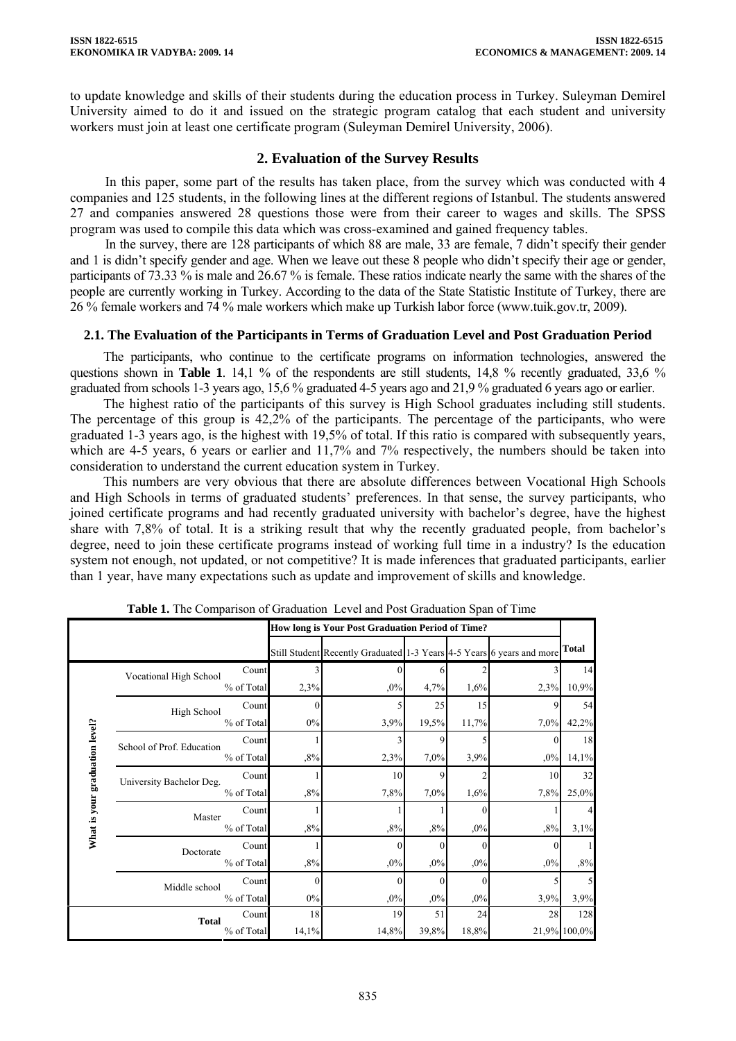to update knowledge and skills of their students during the education process in Turkey. Suleyman Demirel University aimed to do it and issued on the strategic program catalog that each student and university workers must join at least one certificate program (Suleyman Demirel University, 2006).

# **2. Evaluation of the Survey Results**

In this paper, some part of the results has taken place, from the survey which was conducted with 4 companies and 125 students, in the following lines at the different regions of Istanbul. The students answered 27 and companies answered 28 questions those were from their career to wages and skills. The SPSS program was used to compile this data which was cross-examined and gained frequency tables.

In the survey, there are 128 participants of which 88 are male, 33 are female, 7 didn't specify their gender and 1 is didn't specify gender and age. When we leave out these 8 people who didn't specify their age or gender, participants of 73.33 % is male and 26.67 % is female. These ratios indicate nearly the same with the shares of the people are currently working in Turkey. According to the data of the State Statistic Institute of Turkey, there are 26 % female workers and 74 % male workers which make up Turkish labor force (www.tuik.gov.tr, 2009).

# **2.1. The Evaluation of the Participants in Terms of Graduation Level and Post Graduation Period**

The participants, who continue to the certificate programs on information technologies, answered the questions shown in **Table 1**. 14,1 % of the respondents are still students, 14,8 % recently graduated, 33,6 % graduated from schools 1-3 years ago, 15,6 % graduated 4-5 years ago and 21,9 % graduated 6 years ago or earlier.

The highest ratio of the participants of this survey is High School graduates including still students. The percentage of this group is 42,2% of the participants. The percentage of the participants, who were graduated 1-3 years ago, is the highest with 19,5% of total. If this ratio is compared with subsequently years, which are 4-5 years, 6 years or earlier and 11,7% and 7% respectively, the numbers should be taken into consideration to understand the current education system in Turkey.

This numbers are very obvious that there are absolute differences between Vocational High Schools and High Schools in terms of graduated students' preferences. In that sense, the survey participants, who joined certificate programs and had recently graduated university with bachelor's degree, have the highest share with 7,8% of total. It is a striking result that why the recently graduated people, from bachelor's degree, need to join these certificate programs instead of working full time in a industry? Is the education system not enough, not updated, or not competitive? It is made inferences that graduated participants, earlier than 1 year, have many expectations such as update and improvement of skills and knowledge.

| <b>Table 1.</b> The Comparison of Graduation Level and Post Graduation Span of Time |                           |            |       |                                                                       |          |       |          |                |
|-------------------------------------------------------------------------------------|---------------------------|------------|-------|-----------------------------------------------------------------------|----------|-------|----------|----------------|
|                                                                                     |                           |            |       | How long is Your Post Graduation Period of Time?                      |          |       |          |                |
|                                                                                     |                           |            |       | Still Student Recently Graduated 1-3 Years 4-5 Years 6 years and more |          |       |          | Total          |
|                                                                                     | Vocational High School    | Count      |       |                                                                       |          |       |          | 14             |
|                                                                                     |                           | % of Total | 2,3%  | ,0%                                                                   | 4,7%     | 1,6%  | 2,3%     | 10,9%          |
|                                                                                     | High School               | Count      |       |                                                                       | 25       | 15    | 9        | 54             |
| What is your graduation level?                                                      |                           | % of Total | $0\%$ | 3,9%                                                                  | 19,5%    | 11,7% | 7,0%     | 42,2%          |
|                                                                                     | School of Prof. Education | Count      |       |                                                                       | 9        |       | $\Omega$ | 18             |
|                                                                                     |                           | % of Total | ,8%   | 2,3%                                                                  | 7,0%     | 3,9%  | ,0%      | 14,1%          |
|                                                                                     | University Bachelor Deg.  | Count      |       | 10                                                                    | 9        |       | 10       | 32             |
|                                                                                     |                           | % of Total | ,8%   | 7,8%                                                                  | 7,0%     | 1,6%  | 7,8%     | 25,0%          |
|                                                                                     | Master                    | Count      |       |                                                                       |          |       |          | $\overline{4}$ |
|                                                                                     |                           | % of Total | ,8%   | ,8%                                                                   | ,8%      | ,0%   | ,8%      | 3,1%           |
|                                                                                     | Doctorate                 | Count      |       | 0                                                                     | $\Omega$ |       |          |                |
|                                                                                     |                           | % of Total | ,8%   | ,0%                                                                   | .0%      | ,0%   | $,0\%$   | ,8%            |
|                                                                                     | Middle school             | Count      |       | 0                                                                     | $\Omega$ |       |          | 5              |
|                                                                                     |                           | % of Total | $0\%$ | ,0%                                                                   | ,0%      | ,0%   | 3,9%     | 3,9%           |
|                                                                                     | <b>Total</b>              | Count      | 18    | 19                                                                    | 51       | 24    | 28       | 128            |
|                                                                                     |                           | % of Total | 14,1% | 14,8%                                                                 | 39,8%    | 18,8% |          | 21,9% 100,0%   |

**Table 1.** The Comparison of Graduation Level and Post Graduation Span of Time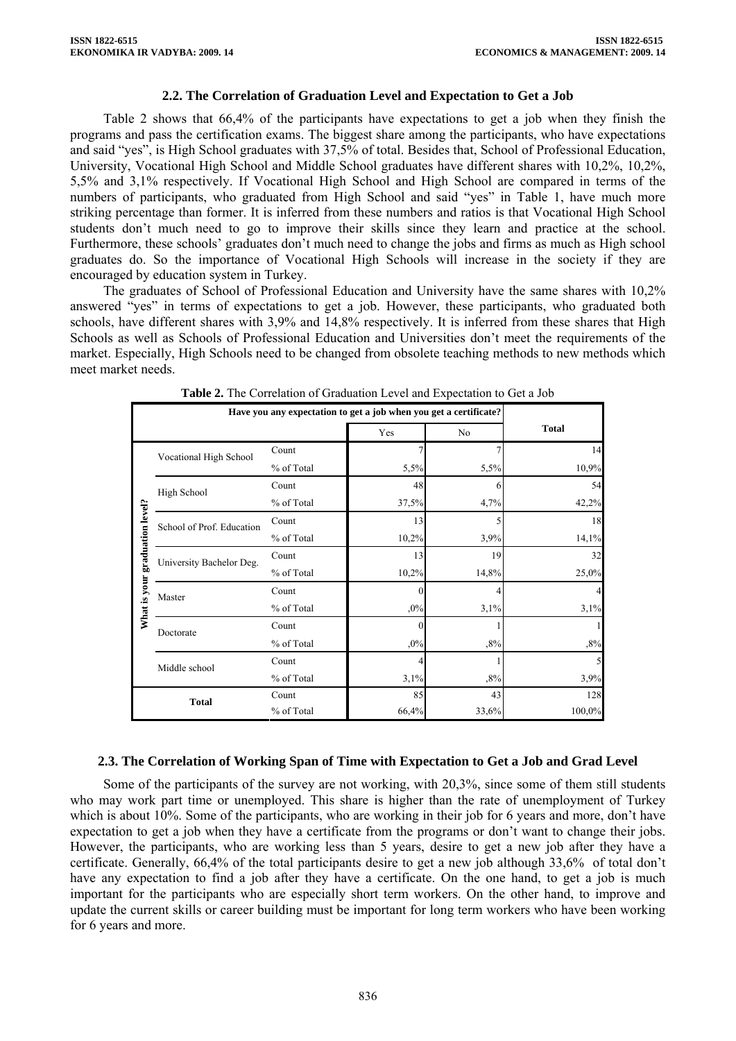#### **2.2. The Correlation of Graduation Level and Expectation to Get a Job**

Table 2 shows that 66,4% of the participants have expectations to get a job when they finish the programs and pass the certification exams. The biggest share among the participants, who have expectations and said "yes", is High School graduates with 37,5% of total. Besides that, School of Professional Education, University, Vocational High School and Middle School graduates have different shares with 10,2%, 10,2%, 5,5% and 3,1% respectively. If Vocational High School and High School are compared in terms of the numbers of participants, who graduated from High School and said "yes" in Table 1, have much more striking percentage than former. It is inferred from these numbers and ratios is that Vocational High School students don't much need to go to improve their skills since they learn and practice at the school. Furthermore, these schools' graduates don't much need to change the jobs and firms as much as High school graduates do. So the importance of Vocational High Schools will increase in the society if they are encouraged by education system in Turkey.

The graduates of School of Professional Education and University have the same shares with 10,2% answered "yes" in terms of expectations to get a job. However, these participants, who graduated both schools, have different shares with 3,9% and 14,8% respectively. It is inferred from these shares that High Schools as well as Schools of Professional Education and Universities don't meet the requirements of the market. Especially, High Schools need to be changed from obsolete teaching methods to new methods which meet market needs.

|                                | Have you any expectation to get a job when you get a certificate? |            |          |       |              |
|--------------------------------|-------------------------------------------------------------------|------------|----------|-------|--------------|
|                                |                                                                   |            | Yes      | No    | <b>Total</b> |
|                                | Vocational High School                                            | Count      |          |       | 14           |
|                                |                                                                   | % of Total | 5,5%     | 5,5%  | 10,9%        |
|                                | High School                                                       | Count      | 48       |       | 54           |
| What is your graduation level? |                                                                   | % of Total | 37,5%    | 4,7%  | 42,2%        |
|                                | School of Prof. Education                                         | Count      | 13       |       | 18           |
|                                |                                                                   | % of Total | 10,2%    | 3,9%  | 14,1%        |
|                                | University Bachelor Deg.                                          | Count      | 13       | 19    | 32           |
|                                |                                                                   | % of Total | 10,2%    | 14,8% | 25,0%        |
|                                | Master                                                            | Count      | O        |       |              |
|                                |                                                                   | % of Total | $,0\%$   | 3,1%  | 3,1%         |
|                                | Doctorate                                                         | Count      | $\Omega$ |       |              |
|                                |                                                                   | % of Total | $,0\%$   | ,8%   | ,8%          |
|                                | Middle school                                                     | Count      |          |       |              |
|                                |                                                                   | % of Total | 3,1%     | ,8%   | 3,9%         |
|                                | <b>Total</b>                                                      | Count      | 85       | 43    | 128          |
|                                |                                                                   | % of Total | 66,4%    | 33,6% | 100,0%       |

**Table 2.** The Correlation of Graduation Level and Expectation to Get a Job

# **2.3. The Correlation of Working Span of Time with Expectation to Get a Job and Grad Level**

Some of the participants of the survey are not working, with 20,3%, since some of them still students who may work part time or unemployed. This share is higher than the rate of unemployment of Turkey which is about 10%. Some of the participants, who are working in their job for 6 years and more, don't have expectation to get a job when they have a certificate from the programs or don't want to change their jobs. However, the participants, who are working less than 5 years, desire to get a new job after they have a certificate. Generally, 66,4% of the total participants desire to get a new job although 33,6% of total don't have any expectation to find a job after they have a certificate. On the one hand, to get a job is much important for the participants who are especially short term workers. On the other hand, to improve and update the current skills or career building must be important for long term workers who have been working for 6 years and more.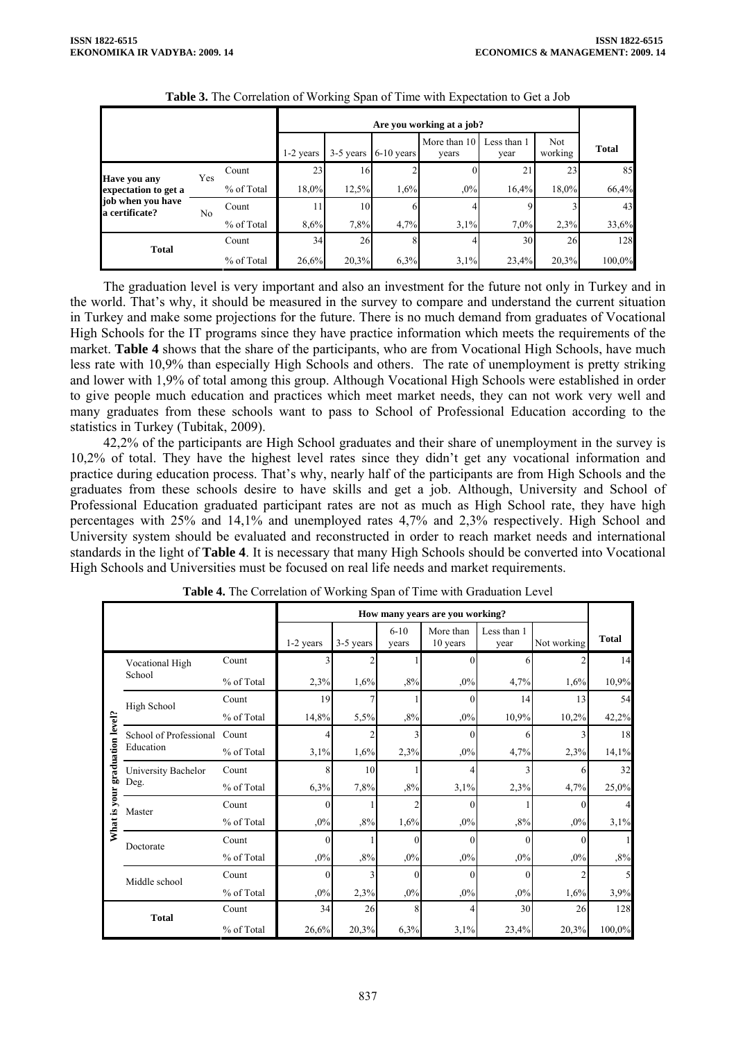|                                     | 1-2 years | 3-5 years  | $6-10$ years | More than 10<br>vears | Less than 1<br>year | Not<br>working | <b>Total</b> |       |        |
|-------------------------------------|-----------|------------|--------------|-----------------------|---------------------|----------------|--------------|-------|--------|
| Have you any                        | Yes       | Count      | 23           | 16                    |                     |                | 21           | 23    | 85     |
| expectation to get a                |           | % of Total | 18,0%        | 12,5%                 | 1,6%                | .0%            | 16,4%        | 18,0% | 66,4%  |
| job when you have<br>a certificate? | No        | Count      | 11           | 10                    | h                   |                |              |       | 43     |
|                                     |           | % of Total | 8,6%         | 7,8%                  | 4,7%                | 3,1%           | 7,0%         | 2,3%  | 33,6%  |
| <b>Total</b>                        |           | Count      | 34           | 26                    |                     |                | 30           | 26    | 128    |
|                                     |           | % of Total | 26,6%        | 20,3%                 | 6,3%                | 3.1%           | 23,4%        | 20,3% | 100,0% |

| Table 3. The Correlation of Working Span of Time with Expectation to Get a Job |  |
|--------------------------------------------------------------------------------|--|
|                                                                                |  |

The graduation level is very important and also an investment for the future not only in Turkey and in the world. That's why, it should be measured in the survey to compare and understand the current situation in Turkey and make some projections for the future. There is no much demand from graduates of Vocational High Schools for the IT programs since they have practice information which meets the requirements of the market. **Table 4** shows that the share of the participants, who are from Vocational High Schools, have much less rate with 10,9% than especially High Schools and others. The rate of unemployment is pretty striking and lower with 1,9% of total among this group. Although Vocational High Schools were established in order to give people much education and practices which meet market needs, they can not work very well and many graduates from these schools want to pass to School of Professional Education according to the statistics in Turkey (Tubitak, 2009).

42,2% of the participants are High School graduates and their share of unemployment in the survey is 10,2% of total. They have the highest level rates since they didn't get any vocational information and practice during education process. That's why, nearly half of the participants are from High Schools and the graduates from these schools desire to have skills and get a job. Although, University and School of Professional Education graduated participant rates are not as much as High School rate, they have high percentages with 25% and 14,1% and unemployed rates 4,7% and 2,3% respectively. High School and University system should be evaluated and reconstructed in order to reach market needs and international standards in the light of **Table 4**. It is necessary that many High Schools should be converted into Vocational High Schools and Universities must be focused on real life needs and market requirements.

|                   |                        |            |           |           |                   | How many years are you working? |                     |             |                |
|-------------------|------------------------|------------|-----------|-----------|-------------------|---------------------------------|---------------------|-------------|----------------|
|                   |                        |            | 1-2 years | 3-5 years | $6 - 10$<br>vears | More than<br>10 years           | Less than 1<br>year | Not working | <b>Total</b>   |
|                   | Vocational High        | Count      |           |           |                   |                                 | 6                   |             | 14             |
|                   | School                 | % of Total | 2,3%      | 1,6%      | ,8%               | $,0\%$                          | 4,7%                | 1,6%        | 10,9%          |
|                   | High School            | Count      | 19        |           |                   | 0                               | 14                  | 13          | 54             |
|                   |                        | % of Total | 14,8%     | 5,5%      | ,8%               | ,0%                             | 10,9%               | 10,2%       | 42,2%          |
|                   | School of Professional | Count      |           |           |                   | 0                               | 6                   |             | 18             |
| graduation level? | Education              | % of Total | 3,1%      | 1,6%      | 2,3%              | $,0\%$                          | 4,7%                | 2,3%        | 14,1%          |
|                   | University Bachelor    | Count      | 8         | 10        |                   |                                 |                     | 6           | 32             |
|                   | Deg.                   | % of Total | 6,3%      | 7,8%      | ,8%               | 3,1%                            | 2,3%                | 4,7%        | 25,0%          |
| What is your      | Master                 | Count      | $\Omega$  |           |                   | 0                               |                     | $\Omega$    | $\overline{4}$ |
|                   |                        | % of Total | ,0%       | ,8%       | 1,6%              | ,0%                             | ,8%                 | $,0\%$      | 3,1%           |
|                   | Doctorate              | Count      | $\theta$  |           | $\Omega$          | 0                               | $\Omega$            | $\Omega$    |                |
|                   |                        | % of Total | $,0\%$    | ,8%       | $,0\%$            | ,0%                             | ,0%                 | $,0\%$      | ,8%            |
|                   | Middle school          | Count      | $\Omega$  |           | $\Omega$          | 0                               | $\Omega$            |             | $\mathcal{L}$  |
|                   |                        | % of Total | ,0%       | 2,3%      | ,0%               | ,0%                             | ,0%                 | 1,6%        | 3,9%           |
|                   | <b>Total</b>           | Count      | 34        | 26        | 8                 | 4                               | 30                  | 26          | 128            |
|                   |                        | % of Total | 26,6%     | 20,3%     | 6,3%              | 3,1%                            | 23,4%               | 20,3%       | 100,0%         |

**Table 4.** The Correlation of Working Span of Time with Graduation Level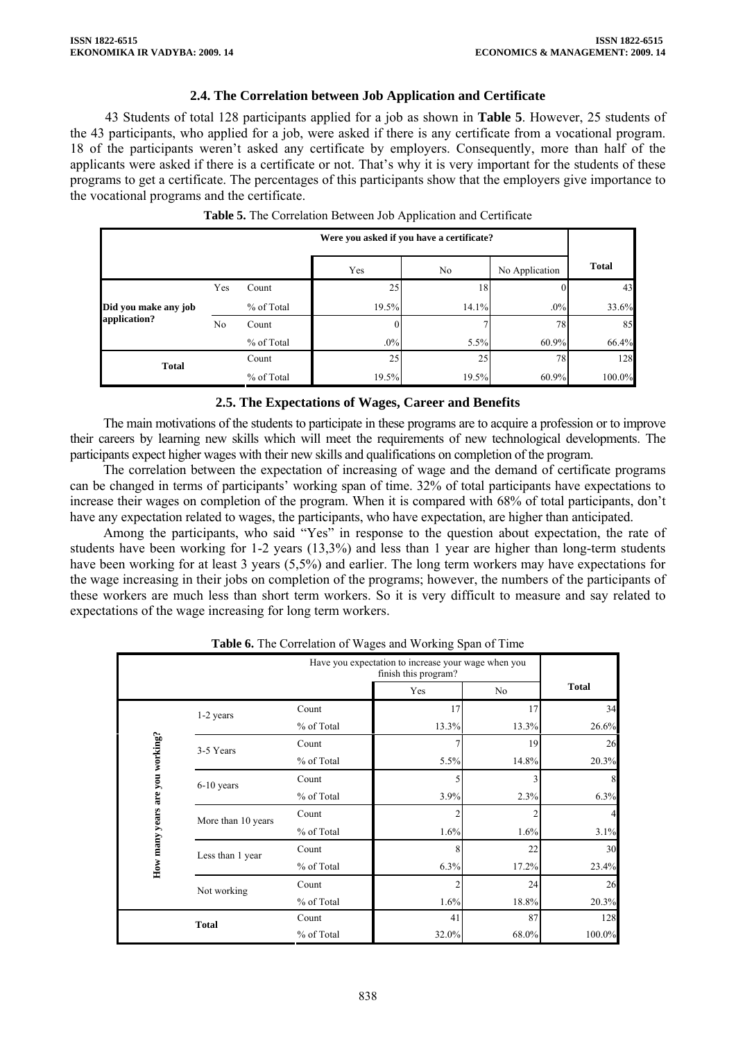### **2.4. The Correlation between Job Application and Certificate**

43 Students of total 128 participants applied for a job as shown in **Table 5**. However, 25 students of the 43 participants, who applied for a job, were asked if there is any certificate from a vocational program. 18 of the participants weren't asked any certificate by employers. Consequently, more than half of the applicants were asked if there is a certificate or not. That's why it is very important for the students of these programs to get a certificate. The percentages of this participants show that the employers give importance to the vocational programs and the certificate.

|                      |     |            |        | Were you asked if you have a certificate? |                |              |  |  |  |  |
|----------------------|-----|------------|--------|-------------------------------------------|----------------|--------------|--|--|--|--|
|                      |     |            | Yes    | No                                        | No Application | <b>Total</b> |  |  |  |  |
|                      | Yes | Count      | 25     | 18                                        |                | 43           |  |  |  |  |
| Did you make any job |     | % of Total | 19.5%  | 14.1%                                     | $.0\%$         | 33.6%        |  |  |  |  |
| application?         | No  | Count      |        |                                           | 78             | 85           |  |  |  |  |
|                      |     | % of Total | $.0\%$ | 5.5%                                      | 60.9%          | 66.4%        |  |  |  |  |
| <b>Total</b>         |     | Count      | 25     | 25                                        | 78             | 128          |  |  |  |  |
|                      |     | % of Total | 19.5%  | 19.5%                                     | 60.9%          | 100.0%       |  |  |  |  |

|  | Table 5. The Correlation Between Job Application and Certificate |  |  |  |  |  |  |
|--|------------------------------------------------------------------|--|--|--|--|--|--|
|--|------------------------------------------------------------------|--|--|--|--|--|--|

### **2.5. The Expectations of Wages, Career and Benefits**

The main motivations of the students to participate in these programs are to acquire a profession or to improve their careers by learning new skills which will meet the requirements of new technological developments. The participants expect higher wages with their new skills and qualifications on completion of the program.

The correlation between the expectation of increasing of wage and the demand of certificate programs can be changed in terms of participants' working span of time. 32% of total participants have expectations to increase their wages on completion of the program. When it is compared with 68% of total participants, don't have any expectation related to wages, the participants, who have expectation, are higher than anticipated.

Among the participants, who said "Yes" in response to the question about expectation, the rate of students have been working for 1-2 years (13,3%) and less than 1 year are higher than long-term students have been working for at least 3 years (5.5%) and earlier. The long term workers may have expectations for the wage increasing in their jobs on completion of the programs; however, the numbers of the participants of these workers are much less than short term workers. So it is very difficult to measure and say related to expectations of the wage increasing for long term workers.

|                                 | Have you expectation to increase your wage when you<br>finish this program? |            |       |       |              |  |  |  |
|---------------------------------|-----------------------------------------------------------------------------|------------|-------|-------|--------------|--|--|--|
|                                 |                                                                             |            | Yes   | No    | <b>Total</b> |  |  |  |
|                                 | 1-2 years                                                                   | Count      | 17    | 17    | 34           |  |  |  |
| How many years are you working? |                                                                             | % of Total | 13.3% | 13.3% | 26.6%        |  |  |  |
|                                 | 3-5 Years                                                                   | Count      |       | 19    | 26           |  |  |  |
|                                 |                                                                             | % of Total | 5.5%  | 14.8% | 20.3%        |  |  |  |
|                                 | $6-10$ years                                                                | Count      |       |       |              |  |  |  |
|                                 |                                                                             | % of Total | 3.9%  | 2.3%  | 6.3%         |  |  |  |
|                                 | More than 10 years                                                          | Count      |       |       |              |  |  |  |
|                                 |                                                                             | % of Total | 1.6%  | 1.6%  | 3.1%         |  |  |  |
|                                 | Less than 1 year                                                            | Count      | 8     | 22    | 30           |  |  |  |
|                                 |                                                                             | % of Total | 6.3%  | 17.2% | 23.4%        |  |  |  |
|                                 | Not working                                                                 | Count      |       | 24    | 26           |  |  |  |
|                                 |                                                                             | % of Total | 1.6%  | 18.8% | 20.3%        |  |  |  |
|                                 | <b>Total</b>                                                                | Count      | 41    | 87    | 128          |  |  |  |
|                                 |                                                                             | % of Total | 32.0% | 68.0% | 100.0%       |  |  |  |

**Table 6.** The Correlation of Wages and Working Span of Time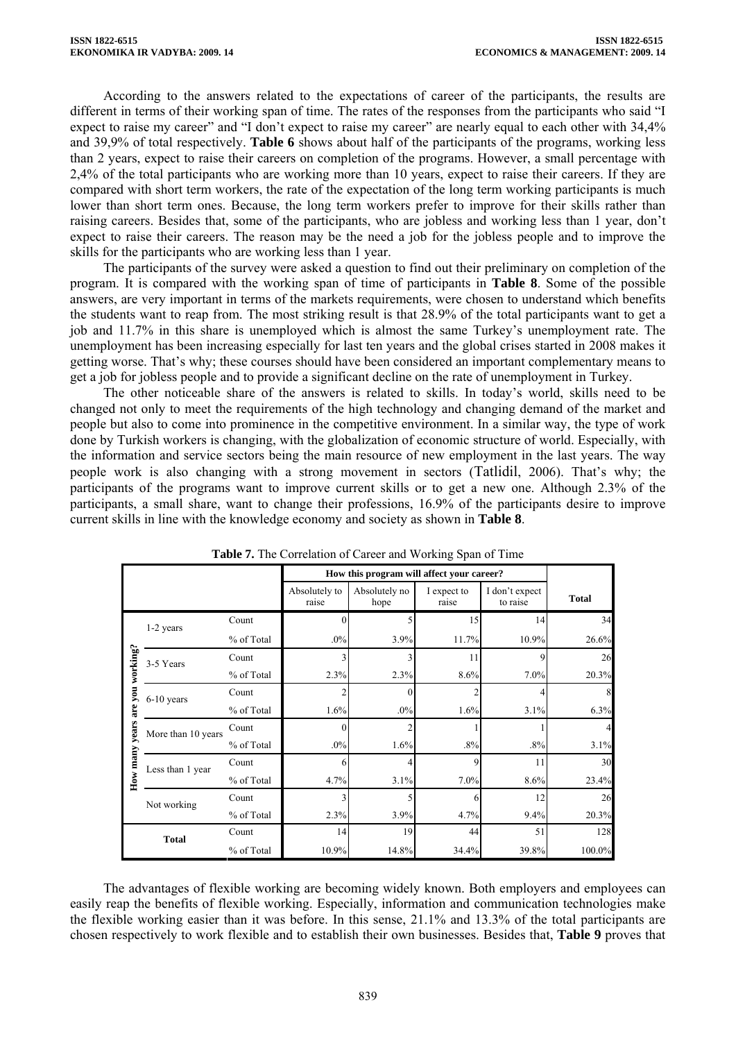According to the answers related to the expectations of career of the participants, the results are different in terms of their working span of time. The rates of the responses from the participants who said "I expect to raise my career" and "I don't expect to raise my career" are nearly equal to each other with 34,4% and 39,9% of total respectively. **Table 6** shows about half of the participants of the programs, working less than 2 years, expect to raise their careers on completion of the programs. However, a small percentage with 2,4% of the total participants who are working more than 10 years, expect to raise their careers. If they are compared with short term workers, the rate of the expectation of the long term working participants is much lower than short term ones. Because, the long term workers prefer to improve for their skills rather than raising careers. Besides that, some of the participants, who are jobless and working less than 1 year, don't expect to raise their careers. The reason may be the need a job for the jobless people and to improve the skills for the participants who are working less than 1 year.

The participants of the survey were asked a question to find out their preliminary on completion of the program. It is compared with the working span of time of participants in **Table 8**. Some of the possible answers, are very important in terms of the markets requirements, were chosen to understand which benefits the students want to reap from. The most striking result is that 28.9% of the total participants want to get a job and 11.7% in this share is unemployed which is almost the same Turkey's unemployment rate. The unemployment has been increasing especially for last ten years and the global crises started in 2008 makes it getting worse. That's why; these courses should have been considered an important complementary means to get a job for jobless people and to provide a significant decline on the rate of unemployment in Turkey.

The other noticeable share of the answers is related to skills. In today's world, skills need to be changed not only to meet the requirements of the high technology and changing demand of the market and people but also to come into prominence in the competitive environment. In a similar way, the type of work done by Turkish workers is changing, with the globalization of economic structure of world. Especially, with the information and service sectors being the main resource of new employment in the last years. The way people work is also changing with a strong movement in sectors (Tatlidil, 2006). That's why; the participants of the programs want to improve current skills or to get a new one. Although 2.3% of the participants, a small share, want to change their professions, 16.9% of the participants desire to improve current skills in line with the knowledge economy and society as shown in **Table 8**.

|                        |                    |            | How this program will affect your career? |                       |                      |                            |              |
|------------------------|--------------------|------------|-------------------------------------------|-----------------------|----------------------|----------------------------|--------------|
|                        |                    |            | Absolutely to<br>raise                    | Absolutely no<br>hope | I expect to<br>raise | I don't expect<br>to raise | <b>Total</b> |
|                        | 1-2 years          | Count      | 0                                         |                       | 15                   | 14                         | 34           |
|                        |                    | % of Total | $.0\%$                                    | 3.9%                  | 11.7%                | 10.9%                      | 26.6%        |
| years are you working? | 3-5 Years          | Count      |                                           |                       | 11                   | 9                          | 26           |
|                        |                    | % of Total | 2.3%                                      | 2.3%                  | 8.6%                 | 7.0%                       | 20.3%        |
|                        | $6-10$ years       | Count      |                                           | 0                     | ↑                    |                            |              |
|                        |                    | % of Total | 1.6%                                      | $.0\%$                | 1.6%                 | 3.1%                       | 6.3%         |
|                        | More than 10 years | Count      | 0                                         | C                     |                      |                            |              |
|                        |                    | % of Total | $.0\%$                                    | 1.6%                  | $.8\%$               | $.8\%$                     | 3.1%         |
| How many               | Less than 1 year   | Count      | 6                                         |                       | 9                    | 11                         | 30           |
|                        |                    | % of Total | 4.7%                                      | 3.1%                  | 7.0%                 | 8.6%                       | 23.4%        |
|                        | Not working        | Count      |                                           |                       | 6                    | 12                         | 26           |
|                        |                    | % of Total | 2.3%                                      | 3.9%                  | 4.7%                 | 9.4%                       | 20.3%        |
|                        | <b>Total</b>       | Count      | 14                                        | 19                    | 44                   | 51                         | 128          |
|                        |                    | % of Total | 10.9%                                     | 14.8%                 | 34.4%                | 39.8%                      | 100.0%       |

**Table 7.** The Correlation of Career and Working Span of Time

The advantages of flexible working are becoming widely known. Both employers and employees can easily reap the benefits of flexible working. Especially, information and communication technologies make the flexible working easier than it was before. In this sense, 21.1% and 13.3% of the total participants are chosen respectively to work flexible and to establish their own businesses. Besides that, **Table 9** proves that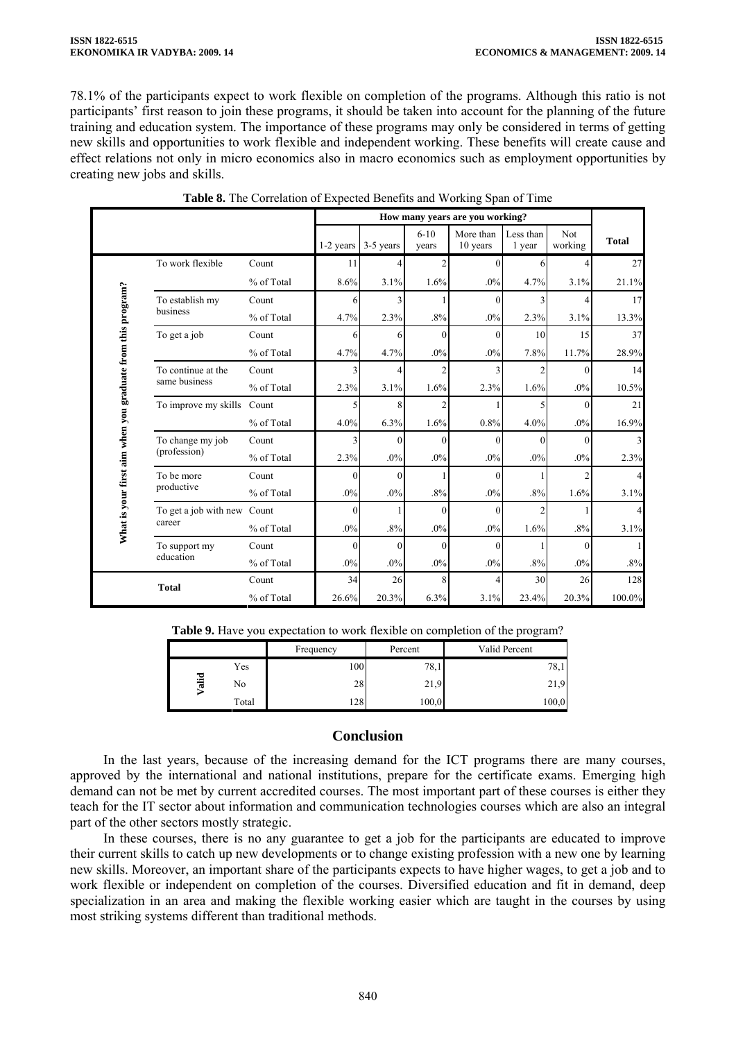78.1% of the participants expect to work flexible on completion of the programs. Although this ratio is not participants' first reason to join these programs, it should be taken into account for the planning of the future training and education system. The importance of these programs may only be considered in terms of getting new skills and opportunities to work flexible and independent working. These benefits will create cause and effect relations not only in micro economics also in macro economics such as employment opportunities by creating new jobs and skills.

|                                                             |                                     |            |           |           |                   | How many years are you working? |                     |                |              |
|-------------------------------------------------------------|-------------------------------------|------------|-----------|-----------|-------------------|---------------------------------|---------------------|----------------|--------------|
|                                                             |                                     |            | 1-2 years | 3-5 years | $6 - 10$<br>years | More than<br>10 years           | Less than<br>1 year | Not<br>working | <b>Total</b> |
|                                                             | To work flexible                    | Count      | 11        | 4         | $\overline{2}$    | $\Omega$                        | 6                   |                | 27           |
|                                                             |                                     | % of Total | 8.6%      | 3.1%      | 1.6%              | $.0\%$                          | 4.7%                | 3.1%           | 21.1%        |
|                                                             | To establish my                     | Count      | 6         | 3         |                   | $\Omega$                        |                     |                | 17           |
|                                                             | business                            | % of Total | 4.7%      | 2.3%      | $.8\%$            | $.0\%$                          | 2.3%                | 3.1%           | 13.3%        |
|                                                             | To get a job                        | Count      | 6         | 6         | $\Omega$          | $\Omega$                        | 10                  | 15             | 37           |
|                                                             |                                     | % of Total | 4.7%      | 4.7%      | $.0\%$            | $.0\%$                          | 7.8%                | 11.7%          | 28.9%        |
| What is your first aim when you graduate from this program? | To continue at the<br>same business | Count      | 3         | 4         | $\overline{2}$    |                                 |                     | $\Omega$       | 14           |
|                                                             |                                     | % of Total | 2.3%      | 3.1%      | 1.6%              | 2.3%                            | 1.6%                | .0%            | 10.5%        |
|                                                             | To improve my skills                | Count      |           | 8         | $\overline{c}$    |                                 |                     | $\Omega$       | 21           |
|                                                             |                                     | % of Total | 4.0%      | 6.3%      | 1.6%              | 0.8%                            | 4.0%                | .0%            | 16.9%        |
|                                                             | To change my job                    | Count      |           | $\Omega$  | $\theta$          | $\Omega$                        | $\Omega$            | $\Omega$       | 3            |
|                                                             | (profession)                        | % of Total | 2.3%      | $.0\%$    | $.0\%$            | .0%                             | $.0\%$              | .0%            | 2.3%         |
|                                                             | To be more                          | Count      | 0         | $\theta$  |                   | $\theta$                        |                     | 2              | 4            |
|                                                             | productive                          | % of Total | $.0\%$    | .0%       | $.8\%$            | $.0\%$                          | $.8\%$              | 1.6%           | 3.1%         |
|                                                             | To get a job with new Count         |            | $\theta$  |           | $\Omega$          | $\Omega$                        |                     |                | 4            |
|                                                             | career                              | % of Total | $.0\%$    | .8%       | $.0\%$            | $.0\%$                          | 1.6%                | .8%            | 3.1%         |
|                                                             | To support my                       | Count      | $\theta$  | $\theta$  | $\theta$          | $\Omega$                        |                     | $\Omega$       |              |
|                                                             | education                           | % of Total | $.0\%$    | $.0\%$    | $.0\%$            | $.0\%$                          | $.8\%$              | $.0\%$         | .8%          |
|                                                             | <b>Total</b>                        | Count      | 34        | 26        | 8                 |                                 | 30                  | 26             | 128          |
|                                                             |                                     | % of Total | 26.6%     | 20.3%     | 6.3%              | 3.1%                            | 23.4%               | 20.3%          | 100.0%       |

| Table 8. The Correlation of Expected Benefits and Working Span of Time |
|------------------------------------------------------------------------|
|------------------------------------------------------------------------|

| Table 9. Have you expectation to work flexible on completion of the program? |  |  |
|------------------------------------------------------------------------------|--|--|
|------------------------------------------------------------------------------|--|--|

|             |       | Frequency | Percent | Valid Percent |
|-------------|-------|-----------|---------|---------------|
| <b>File</b> | Yes   | 100       | 78,1    | 78,1          |
|             | No    | 28        | 21,9    | 21,9          |
|             | Total | 28        | 100,0   | 100,0         |

# **Conclusion**

In the last years, because of the increasing demand for the ICT programs there are many courses, approved by the international and national institutions, prepare for the certificate exams. Emerging high demand can not be met by current accredited courses. The most important part of these courses is either they teach for the IT sector about information and communication technologies courses which are also an integral part of the other sectors mostly strategic.

In these courses, there is no any guarantee to get a job for the participants are educated to improve their current skills to catch up new developments or to change existing profession with a new one by learning new skills. Moreover, an important share of the participants expects to have higher wages, to get a job and to work flexible or independent on completion of the courses. Diversified education and fit in demand, deep specialization in an area and making the flexible working easier which are taught in the courses by using most striking systems different than traditional methods.